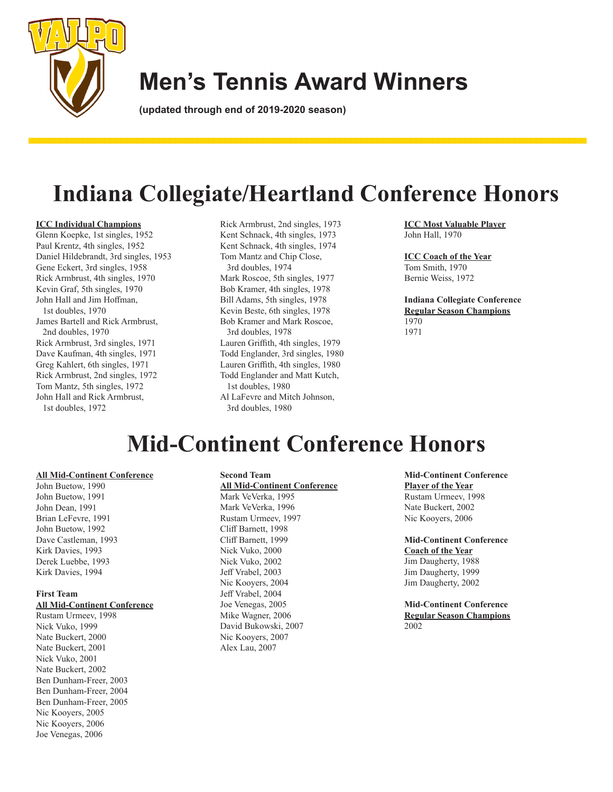

# **Men's Tennis Award Winners**

**(updated through end of 2019-2020 season)**

# **Indiana Collegiate/Heartland Conference Honors**

#### **ICC Individual Champions**

Glenn Koepke, 1st singles, 1952 Paul Krentz, 4th singles, 1952 Daniel Hildebrandt, 3rd singles, 1953 Gene Eckert, 3rd singles, 1958 Rick Armbrust, 4th singles, 1970 Kevin Graf, 5th singles, 1970 John Hall and Jim Hoffman, 1st doubles, 1970 James Bartell and Rick Armbrust, 2nd doubles, 1970 Rick Armbrust, 3rd singles, 1971 Dave Kaufman, 4th singles, 1971 Greg Kahlert, 6th singles, 1971 Rick Armbrust, 2nd singles, 1972 Tom Mantz, 5th singles, 1972 John Hall and Rick Armbrust, 1st doubles, 1972

Rick Armbrust, 2nd singles, 1973 Kent Schnack, 4th singles, 1973 Kent Schnack, 4th singles, 1974 Tom Mantz and Chip Close, 3rd doubles, 1974 Mark Roscoe, 5th singles, 1977 Bob Kramer, 4th singles, 1978 Bill Adams, 5th singles, 1978 Kevin Beste, 6th singles, 1978 Bob Kramer and Mark Roscoe, 3rd doubles, 1978 Lauren Griffith, 4th singles, 1979 Todd Englander, 3rd singles, 1980 Lauren Griffith, 4th singles, 1980 Todd Englander and Matt Kutch, 1st doubles, 1980 Al LaFevre and Mitch Johnson, 3rd doubles, 1980

**ICC Most Valuable Player** John Hall, 1970

#### **ICC Coach of the Year**

Tom Smith, 1970 Bernie Weiss, 1972

**Indiana Collegiate Conference Regular Season Champions** 1970 1971

## **Mid-Continent Conference Honors**

#### **All Mid-Continent Conference**

John Buetow, 1990 John Buetow, 1991 John Dean, 1991 Brian LeFevre, 1991 John Buetow, 1992 Dave Castleman, 1993 Kirk Davies, 1993 Derek Luebbe, 1993 Kirk Davies, 1994

#### **First Team**

#### **All Mid-Continent Conference**

Rustam Urmeev, 1998 Nick Vuko, 1999 Nate Buckert, 2000 Nate Buckert, 2001 Nick Vuko, 2001 Nate Buckert, 2002 Ben Dunham-Freer, 2003 Ben Dunham-Freer, 2004 Ben Dunham-Freer, 2005 Nic Kooyers, 2005 Nic Kooyers, 2006 Joe Venegas, 2006

#### **Second Team All Mid-Continent Conference** Mark VeVerka, 1995 Mark VeVerka, 1996 Rustam Urmeev, 1997 Cliff Barnett, 1998 Cliff Barnett, 1999 Nick Vuko, 2000 Nick Vuko, 2002 Jeff Vrabel, 2003 Nic Kooyers, 2004 Jeff Vrabel, 2004 Joe Venegas, 2005 Mike Wagner, 2006

David Bukowski, 2007 Nic Kooyers, 2007 Alex Lau, 2007

**Mid-Continent Conference Player of the Year** Rustam Urmeev, 1998 Nate Buckert, 2002 Nic Kooyers, 2006

**Mid-Continent Conference Coach of the Year** Jim Daugherty, 1988 Jim Daugherty, 1999 Jim Daugherty, 2002

**Mid-Continent Conference Regular Season Champions** 2002